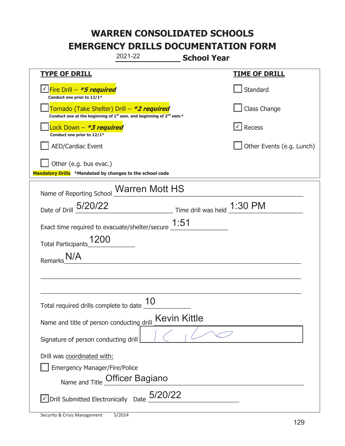|                                                                                    | 2021-22                                                                                     | <b>School Year</b>                                                          |                           |
|------------------------------------------------------------------------------------|---------------------------------------------------------------------------------------------|-----------------------------------------------------------------------------|---------------------------|
| <u>TYPE OF DRILL</u>                                                               |                                                                                             |                                                                             | <u>TIME OF DRILL</u>      |
| √Fire Drill – <i>*<b>5 required</b></i><br>Conduct one prior to 12/1*              |                                                                                             |                                                                             | Standard                  |
| Tornado (Take Shelter) Drill – *2 required                                         | Conduct one at the beginning of 1 <sup>st</sup> sem. and beginning of 2 <sup>nd</sup> sem.* |                                                                             | Class Change              |
| Lock Down - <b>*3 required</b><br>Conduct one prior to 12/1*                       |                                                                                             |                                                                             | Recess                    |
| AED/Cardiac Event                                                                  |                                                                                             |                                                                             | Other Events (e.g. Lunch) |
| Other (e.g. bus evac.)<br>Mandatory Drills *Mandated by changes to the school code |                                                                                             |                                                                             |                           |
| Name of Reporting School Marren Mott HS                                            |                                                                                             |                                                                             |                           |
| Date of Drill 5/20/22                                                              |                                                                                             | $\frac{1:30 \text{ PM}}{2}$ Time drill was held $\frac{1:30 \text{ PM}}{2}$ |                           |
| Exact time required to evacuate/shelter/secure $\underline{1:}51$                  |                                                                                             |                                                                             |                           |
| 1200<br><b>Total Participants</b>                                                  |                                                                                             |                                                                             |                           |
| Remarks                                                                            |                                                                                             |                                                                             |                           |
|                                                                                    |                                                                                             |                                                                             |                           |
|                                                                                    |                                                                                             |                                                                             |                           |
| Total required drills complete to date                                             | 10                                                                                          |                                                                             |                           |
| Name and title of person conducting drill                                          | <b>Kevin Kittle</b>                                                                         |                                                                             |                           |
| Signature of person conducting drill                                               |                                                                                             |                                                                             |                           |
| Drill was coordinated with:                                                        |                                                                                             |                                                                             |                           |
| <b>Emergency Manager/Fire/Police</b>                                               | Name and Title Officer Bagiano                                                              |                                                                             |                           |
| $\vee$ Drill Submitted Electronically Date $_0$ 5/20/22                            |                                                                                             |                                                                             |                           |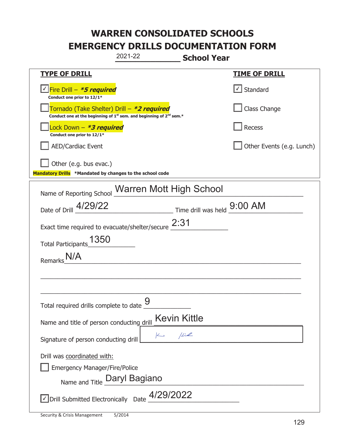|                                                                                    | 2021-22                                                                                                               | <b>School Year</b>          |                           |
|------------------------------------------------------------------------------------|-----------------------------------------------------------------------------------------------------------------------|-----------------------------|---------------------------|
| <u>TYPE OF DRILL</u>                                                               |                                                                                                                       |                             | <u>TIME OF DRILL</u>      |
| <u>√ Fire Drill – <i>*5 required</i></u><br>Conduct one prior to 12/1*             |                                                                                                                       |                             | $\vert$ Standard          |
|                                                                                    | Tornado (Take Shelter) Drill – *2 required<br>Conduct one at the beginning of $1st$ sem. and beginning of $2nd$ sem.* |                             | Class Change              |
| ock Down - <b>*3 required</b><br>Conduct one prior to 12/1*                        |                                                                                                                       |                             | Recess                    |
| <b>AED/Cardiac Event</b>                                                           |                                                                                                                       |                             | Other Events (e.g. Lunch) |
| Other (e.g. bus evac.)<br>Mandatory Drills *Mandated by changes to the school code |                                                                                                                       |                             |                           |
| Name of Reporting School Warren Mott High School                                   |                                                                                                                       |                             |                           |
| Date of Drill 4/29/22                                                              |                                                                                                                       | Time drill was held 9:00 AM |                           |
| Exact time required to evacuate/shelter/secure $2:31$                              |                                                                                                                       |                             |                           |
| 1350<br><b>Total Participants</b>                                                  |                                                                                                                       |                             |                           |
| Remark:                                                                            |                                                                                                                       |                             |                           |
|                                                                                    |                                                                                                                       |                             |                           |
|                                                                                    |                                                                                                                       |                             |                           |
| Total required drills complete to date $\frac{9}{10}$                              |                                                                                                                       |                             |                           |
| Name and title of person conducting drill                                          |                                                                                                                       | <b>Kevin Kittle</b>         |                           |
| Signature of person conducting drill                                               | $\sim$ $\mu$                                                                                                          |                             |                           |
| Drill was coordinated with:<br><b>Emergency Manager/Fire/Police</b>                | Name and Title Daryl Bagiano                                                                                          |                             |                           |
| $\vee$ Drill Submitted Electronically Date $\frac{4/29/2022}{2}$                   |                                                                                                                       |                             |                           |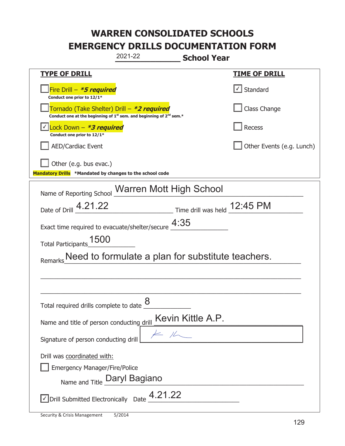| 2021-22<br><b>School Year</b>                                                                                                             |                           |  |
|-------------------------------------------------------------------------------------------------------------------------------------------|---------------------------|--|
| <b>TYPE OF DRILL</b>                                                                                                                      | <u>TIME OF DRILL</u>      |  |
| Fire Drill - *5 required<br>Conduct one prior to 12/1*                                                                                    | √ Standard                |  |
| Tornado (Take Shelter) Drill – *2 required<br>Conduct one at the beginning of 1 <sup>st</sup> sem. and beginning of 2 <sup>nd</sup> sem.* | Class Change              |  |
| Lock Down $-$ *3 required<br>Conduct one prior to 12/1*                                                                                   | Recess                    |  |
| <b>AED/Cardiac Event</b>                                                                                                                  | Other Events (e.g. Lunch) |  |
| Other (e.g. bus evac.)<br>Mandatory Drills *Mandated by changes to the school code                                                        |                           |  |
| Name of Reporting School Warren Mott High School                                                                                          |                           |  |
| $\frac{12.45 \text{ PM}}{2}$ Time drill was held $\frac{12.45 \text{ PM}}{2}$<br>Date of Drill 4.21.22                                    |                           |  |
| Exact time required to evacuate/shelter/secure $\frac{4:35}{\cdots}$                                                                      |                           |  |
| Total Participants_1500                                                                                                                   |                           |  |
| Need to formulate a plan for substitute teachers.                                                                                         |                           |  |
|                                                                                                                                           |                           |  |
|                                                                                                                                           |                           |  |
| 8<br>Total required drills complete to date                                                                                               |                           |  |
| Kevin Kittle A.P.<br>Name and title of person conducting drill                                                                            |                           |  |
| Signature of person conducting drill                                                                                                      |                           |  |
| Drill was coordinated with:<br><b>Emergency Manager/Fire/Police</b><br>Name and Title Daryl Bagiano                                       |                           |  |
| $\sqrt{2}$ Drill Submitted Electronically Date $\frac{4.21.22}{\sqrt{2}}$                                                                 |                           |  |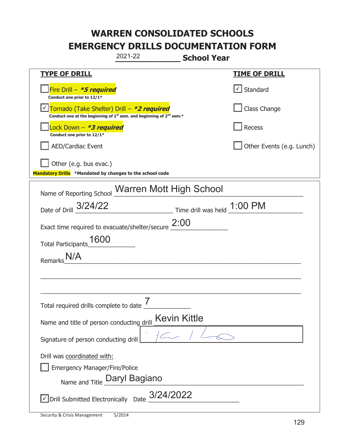|                                                                                    | 2021-22                                                                                     | <b>School Year</b>                                                          |                           |
|------------------------------------------------------------------------------------|---------------------------------------------------------------------------------------------|-----------------------------------------------------------------------------|---------------------------|
| <b>TYPE OF DRILL</b>                                                               |                                                                                             |                                                                             | <u>TIME OF DRILL</u>      |
| Fire Drill – <i>*<b>5 required</b></i><br>Conduct one prior to 12/1*               |                                                                                             |                                                                             | $\vert$ Standard          |
| Tornado (Take Shelter) Drill – *2 required                                         | Conduct one at the beginning of 1 <sup>st</sup> sem. and beginning of 2 <sup>nd</sup> sem.* |                                                                             | Class Change              |
| ock Down - <b>*3 required</b><br>Conduct one prior to 12/1*                        |                                                                                             |                                                                             | Recess                    |
| <b>AED/Cardiac Event</b>                                                           |                                                                                             |                                                                             | Other Events (e.g. Lunch) |
| Other (e.g. bus evac.)<br>Mandatory Drills *Mandated by changes to the school code |                                                                                             |                                                                             |                           |
| Name of Reporting School Warren Mott High School                                   |                                                                                             |                                                                             |                           |
|                                                                                    |                                                                                             |                                                                             |                           |
| Date of Drill 3/24/22                                                              |                                                                                             | $\frac{1:00 \text{ PM}}{1}$ Time drill was held $\frac{1:00 \text{ PM}}{1}$ |                           |
| Exact time required to evacuate/shelter/secure $2:00$                              |                                                                                             |                                                                             |                           |
| 1600<br><b>Total Participants</b>                                                  |                                                                                             |                                                                             |                           |
| Remark <sup>®</sup>                                                                |                                                                                             |                                                                             |                           |
|                                                                                    |                                                                                             |                                                                             |                           |
|                                                                                    |                                                                                             |                                                                             |                           |
| Total required drills complete to date                                             | 7                                                                                           |                                                                             |                           |
| Name and title of person conducting drill                                          | <b>Kevin Kittle</b>                                                                         |                                                                             |                           |
| Signature of person conducting drill                                               |                                                                                             |                                                                             |                           |
| Drill was coordinated with:                                                        |                                                                                             |                                                                             |                           |
| <b>Emergency Manager/Fire/Police</b>                                               |                                                                                             |                                                                             |                           |
|                                                                                    | Name and Title Daryl Bagiano                                                                |                                                                             |                           |
| $\vee$ Drill Submitted Electronically Date $\frac{3/24/2022}{\cdots}$              |                                                                                             |                                                                             |                           |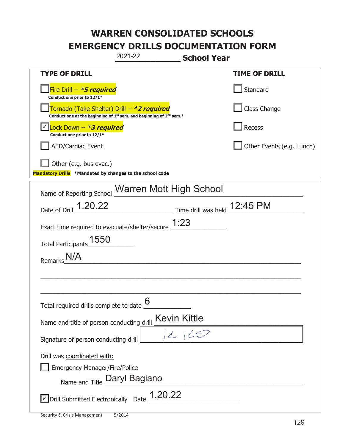|                                                                                                     | 2021-22                                                                                     | <b>School Year</b>           |                           |
|-----------------------------------------------------------------------------------------------------|---------------------------------------------------------------------------------------------|------------------------------|---------------------------|
| <b>TYPE OF DRILL</b>                                                                                |                                                                                             |                              | <b>TIME OF DRILL</b>      |
| Fire Drill - *5 required<br>Conduct one prior to 12/1*                                              |                                                                                             |                              | Standard                  |
| Tornado (Take Shelter) Drill – *2 required                                                          | Conduct one at the beginning of 1 <sup>st</sup> sem. and beginning of 2 <sup>nd</sup> sem.* |                              | Class Change              |
| Lock Down – <b>*3 required</b><br>Conduct one prior to 12/1*                                        |                                                                                             |                              | <b>Recess</b>             |
| <b>AED/Cardiac Event</b>                                                                            |                                                                                             |                              | Other Events (e.g. Lunch) |
| Other (e.g. bus evac.)<br>Mandatory Drills *Mandated by changes to the school code                  |                                                                                             |                              |                           |
| Name of Reporting School                                                                            | Warren Mott High School                                                                     |                              |                           |
| Date of Drill 1.20.22                                                                               |                                                                                             | $\frac{12.45 \text{ PM}}{2}$ |                           |
| Exact time required to evacuate/shelter/secure $1:23$                                               |                                                                                             |                              |                           |
| 1550<br><b>Total Participants</b>                                                                   |                                                                                             |                              |                           |
| <b>Remarks</b>                                                                                      |                                                                                             |                              |                           |
|                                                                                                     |                                                                                             |                              |                           |
|                                                                                                     |                                                                                             |                              |                           |
| Total required drills complete to date $6 \overline{6}$                                             |                                                                                             |                              |                           |
| Name and title of person conducting drill                                                           |                                                                                             | <b>Kevin Kittle</b>          |                           |
| Signature of person conducting drill                                                                |                                                                                             |                              |                           |
| Drill was coordinated with:<br><b>Emergency Manager/Fire/Police</b><br>Name and Title Daryl Bagiano |                                                                                             |                              |                           |
| √ Drill Submitted Electronically Date                                                               | 1.20.22                                                                                     |                              |                           |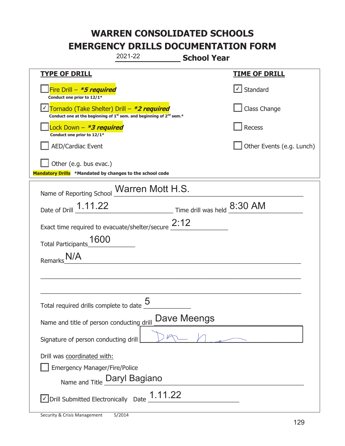|                                                                                    | 2021-22                                                                                     | <b>School Year</b>                                                          |                           |
|------------------------------------------------------------------------------------|---------------------------------------------------------------------------------------------|-----------------------------------------------------------------------------|---------------------------|
| <u>TYPE OF DRILL</u>                                                               |                                                                                             |                                                                             | <b>TIME OF DRILL</b>      |
| Fire Drill - *5 required<br>Conduct one prior to 12/1*                             |                                                                                             |                                                                             | Standard                  |
| Tornado (Take Shelter) Drill – *2 required                                         | Conduct one at the beginning of 1 <sup>st</sup> sem. and beginning of 2 <sup>nd</sup> sem.* |                                                                             | Class Change              |
| Lock Down - <b><i>*3 required</i></b><br>Conduct one prior to 12/1*                |                                                                                             |                                                                             | <b>Recess</b>             |
| AED/Cardiac Event                                                                  |                                                                                             |                                                                             | Other Events (e.g. Lunch) |
| Other (e.g. bus evac.)<br>Mandatory Drills *Mandated by changes to the school code |                                                                                             |                                                                             |                           |
| Name of Reporting School Marren Mott H.S.                                          |                                                                                             |                                                                             |                           |
| Date of Drill 1.11.22                                                              |                                                                                             | $\frac{8:30 \text{ AM}}{2}$ Time drill was held $\frac{8:30 \text{ AM}}{2}$ |                           |
| Exact time required to evacuate/shelter/secure $2:12$                              |                                                                                             |                                                                             |                           |
| 1600<br><b>Total Participants</b>                                                  |                                                                                             |                                                                             |                           |
| Remarks                                                                            |                                                                                             |                                                                             |                           |
|                                                                                    |                                                                                             |                                                                             |                           |
|                                                                                    |                                                                                             |                                                                             |                           |
| Total required drills complete to date                                             | 5                                                                                           |                                                                             |                           |
| Name and title of person conducting drill                                          |                                                                                             | Dave Meengs                                                                 |                           |
| Signature of person conducting drill                                               |                                                                                             |                                                                             |                           |
| Drill was coordinated with:<br><b>Emergency Manager/Fire/Police</b>                | Name and Title Daryl Bagiano                                                                |                                                                             |                           |
| √ Drill Submitted Electronically Date                                              | 1.11.22                                                                                     |                                                                             |                           |

t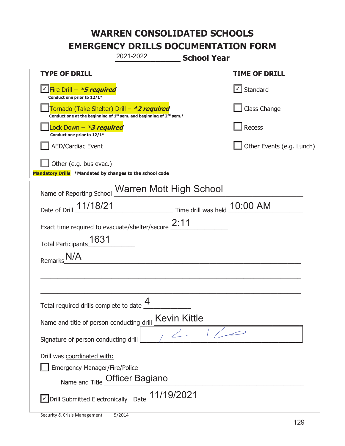|                                                                                                                                           | 2021-2022                             | <b>School Year</b>           |                           |
|-------------------------------------------------------------------------------------------------------------------------------------------|---------------------------------------|------------------------------|---------------------------|
| <b>TYPE OF DRILL</b>                                                                                                                      |                                       |                              | <u>TIME OF DRILL</u>      |
| √ Fire Drill – <i>*<b>5 required</b></i><br>Conduct one prior to 12/1*                                                                    |                                       |                              | $\vert$ Standard          |
| Tornado (Take Shelter) Drill – *2 required<br>Conduct one at the beginning of 1 <sup>st</sup> sem. and beginning of 2 <sup>nd</sup> sem.* |                                       |                              | Class Change              |
| ock Down - <b>*3 required</b><br>Conduct one prior to 12/1*                                                                               |                                       |                              | Recess                    |
| <b>AED/Cardiac Event</b>                                                                                                                  |                                       |                              | Other Events (e.g. Lunch) |
| Other (e.g. bus evac.)<br>Mandatory Drills *Mandated by changes to the school code                                                        |                                       |                              |                           |
| Name of Reporting School Warren Mott High School                                                                                          |                                       |                              |                           |
| Date of Drill 11/18/21                                                                                                                    |                                       | Time drill was held 10:00 AM |                           |
| Exact time required to evacuate/shelter/secure $2:11$                                                                                     |                                       |                              |                           |
| 1631<br><b>Total Participants</b>                                                                                                         |                                       |                              |                           |
| <b>Remarks</b>                                                                                                                            |                                       |                              |                           |
|                                                                                                                                           |                                       |                              |                           |
|                                                                                                                                           |                                       |                              |                           |
| Total required drills complete to date                                                                                                    | 4                                     |                              |                           |
| Name and title of person conducting drill                                                                                                 |                                       | <b>Kevin Kittle</b>          |                           |
| Signature of person conducting drill                                                                                                      |                                       |                              |                           |
| Drill was coordinated with:<br><b>Emergency Manager/Fire/Police</b>                                                                       | Name and Title <b>Officer Bagiano</b> |                              |                           |
| $\vee$ Drill Submitted Electronically Date $\_$ 11/19/2021                                                                                |                                       |                              |                           |

t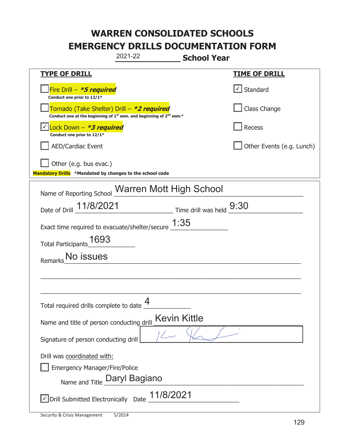|                                                                                    | 2021-22                                                                                     | <b>School Year</b> |                           |
|------------------------------------------------------------------------------------|---------------------------------------------------------------------------------------------|--------------------|---------------------------|
| <b>TYPE OF DRILL</b>                                                               |                                                                                             |                    | <u>TIME OF DRILL</u>      |
| Fire Drill - *5 required<br>Conduct one prior to 12/1*                             |                                                                                             |                    | √ Standard                |
| Tornado (Take Shelter) Drill – *2 required                                         | Conduct one at the beginning of 1 <sup>st</sup> sem. and beginning of 2 <sup>nd</sup> sem.* |                    | Class Change              |
| Lock Down - *3 required<br>Conduct one prior to 12/1*                              |                                                                                             |                    | Recess                    |
| <b>AED/Cardiac Event</b>                                                           |                                                                                             |                    | Other Events (e.g. Lunch) |
| Other (e.g. bus evac.)<br>Mandatory Drills *Mandated by changes to the school code |                                                                                             |                    |                           |
| Name of Reporting School Warren Mott High School                                   |                                                                                             |                    |                           |
| Date of Drill 11/8/2021                                                            | $\frac{9:30}{\frac{1}{2}}$ Time drill was held $\frac{9:30}{\frac{1}{2}}$                   |                    |                           |
| Exact time required to evacuate/shelter/secure $\underline{1:}35$                  |                                                                                             |                    |                           |
| 1693<br><b>Total Participants</b>                                                  |                                                                                             |                    |                           |
| No issues<br>Remarks                                                               |                                                                                             |                    |                           |
|                                                                                    |                                                                                             |                    |                           |
|                                                                                    |                                                                                             |                    |                           |
| Total required drills complete to date                                             | 4                                                                                           |                    |                           |
| Name and title of person conducting drill                                          | <b>Kevin Kittle</b>                                                                         |                    |                           |
| Signature of person conducting drill                                               |                                                                                             |                    |                           |
| Drill was coordinated with:<br><b>Emergency Manager/Fire/Police</b>                | Name and Title Daryl Bagiano                                                                |                    |                           |
| $\Box$ Drill Submitted Electronically Date $\_11/8/2021$                           |                                                                                             |                    |                           |

t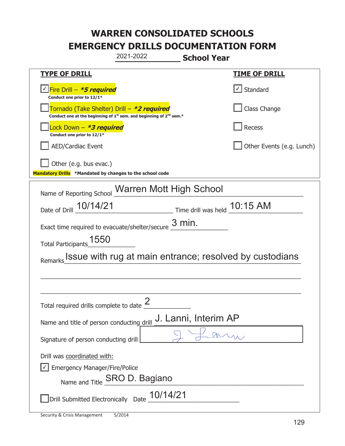| 2021-2022<br><b>School Year</b>                                                                                                           |                              |
|-------------------------------------------------------------------------------------------------------------------------------------------|------------------------------|
| <b>TYPE OF DRILL</b>                                                                                                                      | <b>TIME OF DRILL</b>         |
| √Fire Drill – <b>*5 required</b><br>Conduct one prior to 12/1*                                                                            | √ Standard                   |
| Tornado (Take Shelter) Drill – *2 required<br>Conduct one at the beginning of 1 <sup>st</sup> sem. and beginning of 2 <sup>nd</sup> sem.* | Class Change                 |
| Lock Down – <b>*3 required</b><br>Conduct one prior to 12/1*                                                                              | Recess                       |
| <b>AED/Cardiac Event</b>                                                                                                                  | Other Events (e.g. Lunch)    |
| Other (e.g. bus evac.)<br>Mandatory Drills *Mandated by changes to the school code                                                        |                              |
| Name of Reporting School Marren Mott High School                                                                                          |                              |
| Date of Drill 10/14/21                                                                                                                    | Time drill was held 10:15 AM |
|                                                                                                                                           |                              |
| Exact time required to evacuate/shelter/secure $\frac{3}{2}$ min.                                                                         |                              |
| Total Participants_1550                                                                                                                   |                              |
| Issue with rug at main entrance; resolved by custodians<br>Remarks                                                                        |                              |
|                                                                                                                                           |                              |
|                                                                                                                                           |                              |
| $\Omega$<br>Total required drills complete to date $\leq$                                                                                 |                              |
| J. Lanni, Interim AP<br>Name and title of person conducting drill                                                                         |                              |
| Signature of person conducting drill                                                                                                      |                              |
| Drill was coordinated with:                                                                                                               |                              |
| <b>Emergency Manager/Fire/Police</b>                                                                                                      |                              |
| Name and Title <b>SRO D. Bagiano</b>                                                                                                      |                              |
| Drill Submitted Electronically Date $\frac{10/14/21}{2}$                                                                                  |                              |